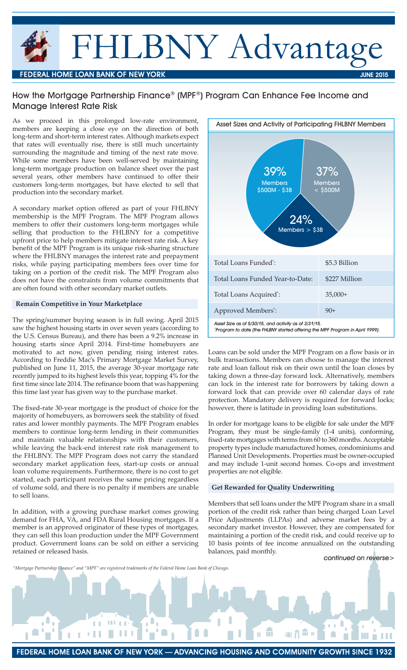# FHLBNY Advantage **FEDERAL HOME LOAN BANK OF NEW YORK** JUNE 2015

# How the Mortgage Partnership Finance® (MPF®) Program Can Enhance Fee Income and Manage Interest Rate Risk

As we proceed in this prolonged low-rate environment, members are keeping a close eye on the direction of both long-term and short-term interest rates. Although markets expect that rates will eventually rise, there is still much uncertainty surrounding the magnitude and timing of the next rate move. While some members have been well-served by maintaining long-term mortgage production on balance sheet over the past several years, other members have continued to offer their customers long-term mortgages, but have elected to sell that production into the secondary market.

A secondary market option offered as part of your FHLBNY membership is the MPF Program. The MPF Program allows members to offer their customers long-term mortgages while selling that production to the FHLBNY for a competitive upfront price to help members mitigate interest rate risk. A key benefit of the MPF Program is its unique risk-sharing structure where the FHLBNY manages the interest rate and prepayment risks, while paying participating members fees over time for taking on a portion of the credit risk. The MPF Program also does not have the constraints from volume commitments that are often found with other secondary market outlets.

## **Remain Competitive in Your Marketplace**

The spring/summer buying season is in full swing. April 2015 saw the highest housing starts in over seven years (according to the U.S. Census Bureau), and there has been a 9.2% increase in housing starts since April 2014. First-time homebuyers are motivated to act now, given pending rising interest rates. According to Freddie Mac's Primary Mortgage Market Survey, published on June 11, 2015, the average 30-year mortgage rate recently jumped to its highest levels this year, topping 4% for the first time since late 2014. The refinance boom that was happening this time last year has given way to the purchase market.

The fixed-rate 30-year mortgage is the product of choice for the majority of homebuyers, as borrowers seek the stability of fixed rates and lower monthly payments. The MPF Program enables members to continue long-term lending in their communities and maintain valuable relationships with their customers, while leaving the back-end interest rate risk management to the FHLBNY. The MPF Program does not carry the standard secondary market application fees, start-up costs or annual loan volume requirements. Furthermore, there is no cost to get started, each participant receives the same pricing regardless of volume sold, and there is no penalty if members are unable to sell loans.

In addition, with a growing purchase market comes growing demand for FHA, VA, and FDA Rural Housing mortgages. If a member is an approved originator of these types of mortgages, they can sell this loan production under the MPF Government product. Government loans can be sold on either a servicing retained or released basis.

п



Loans can be sold under the MPF Program on a flow basis or in bulk transactions. Members can choose to manage the interest rate and loan fallout risk on their own until the loan closes by taking down a three-day forward lock. Alternatively, members can lock in the interest rate for borrowers by taking down a forward lock that can provide over 60 calendar days of rate protection. Mandatory delivery is required for forward locks; however, there is latitude in providing loan substitutions.

In order for mortgage loans to be eligible for sale under the MPF Program, they must be single-family (1-4 units), conforming, fixed-rate mortgages with terms from 60 to 360 months. Acceptable property types include manufactured homes, condominiums and Planned Unit Developments. Properties must be owner-occupied and may include 1-unit second homes. Co-ops and investment properties are not eligible.

#### **Get Rewarded for Quality Underwriting**

 $\blacksquare$ Ĩ.

ili fi

Members that sell loans under the MPF Program share in a small portion of the credit risk rather than being charged Loan Level Price Adjustments (LLPAs) and adverse market fees by a secondary market investor. However, they are compensated for maintaining a portion of the credit risk, and could receive up to 10 basis points of fee income annualized on the outstanding balances, paid monthly. *continued on reverse>*

*"Mortgage Partnership Finance" and "MPF" are registered trademarks of the Federal Home Loan Bank of Chicago.*



 $\Box$